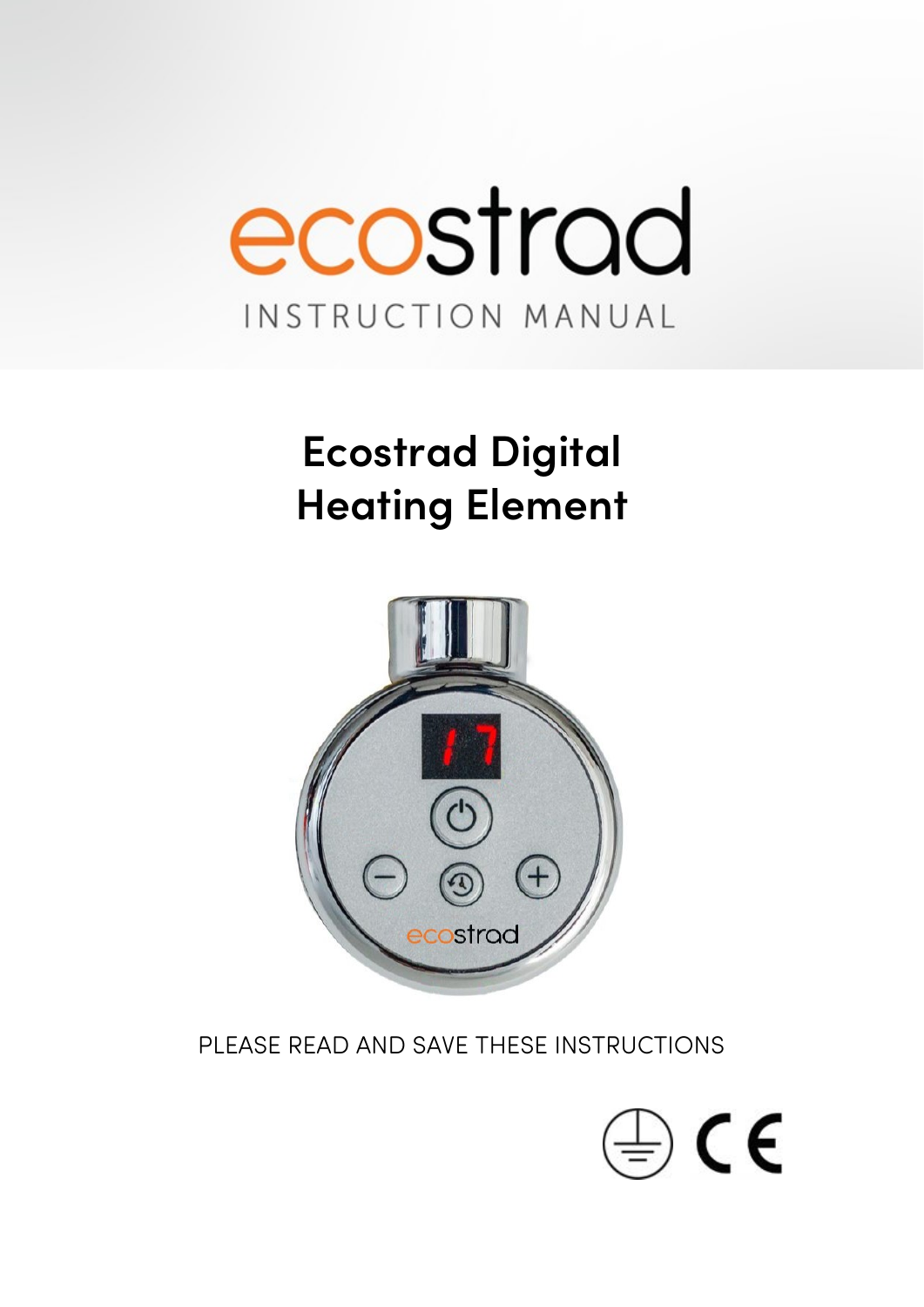

# **Ecostrad Digital Heating Element**



PLEASE READ AND SAVE THESE INSTRUCTIONS

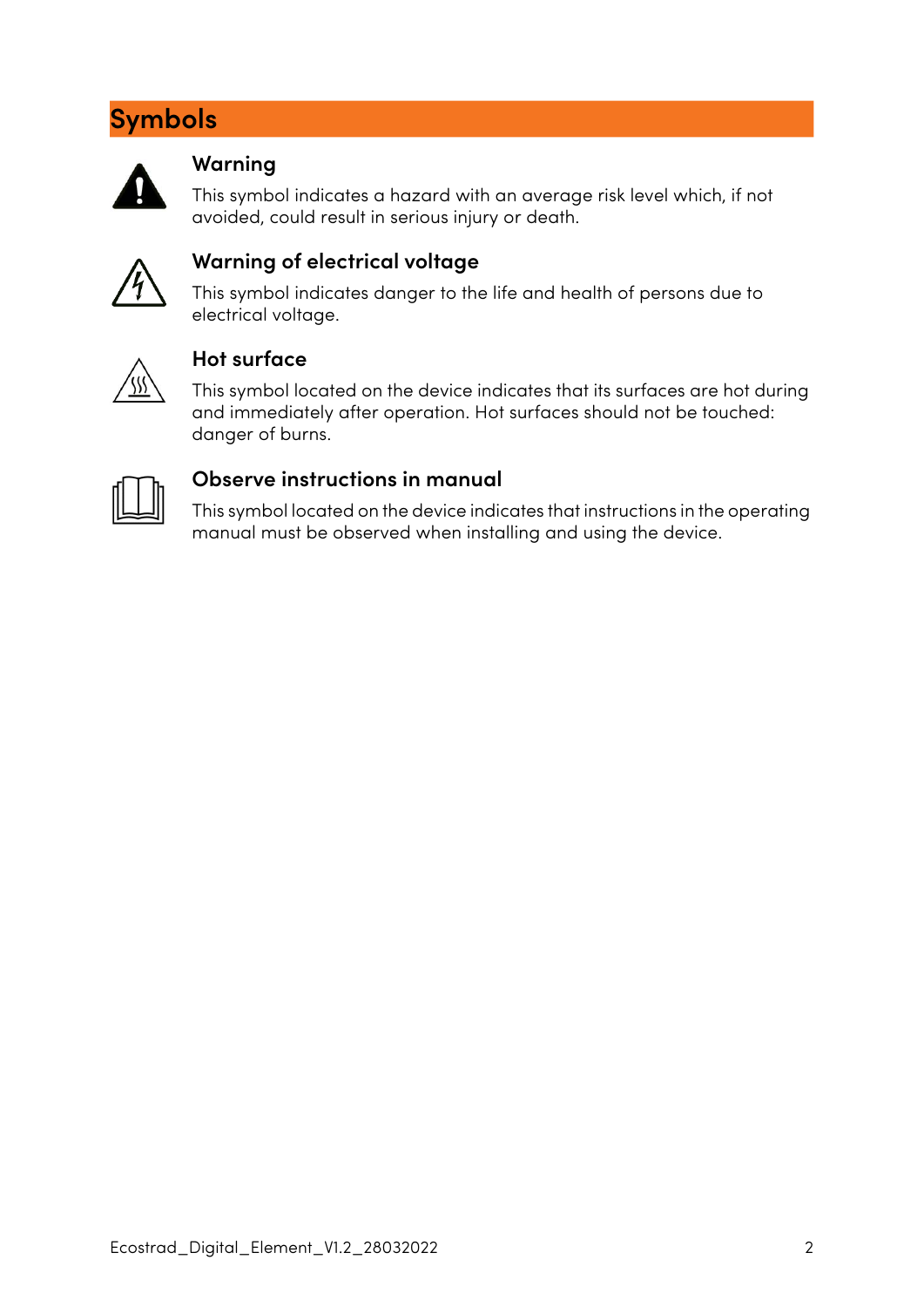# **Symbols**



#### **Warning**

This symbol indicates a hazard with an average risk level which, if not avoided, could result in serious injury or death.



#### **Warning of electrical voltage**

This symbol indicates danger to the life and health of persons due to electrical voltage.



#### **Hot surface**

This symbol located on the device indicates that its surfaces are hot during and immediately after operation. Hot surfaces should not be touched: danger of burns.



#### **Observe instructions in manual**

This symbol located on the device indicates that instructions in the operating manual must be observed when installing and using the device.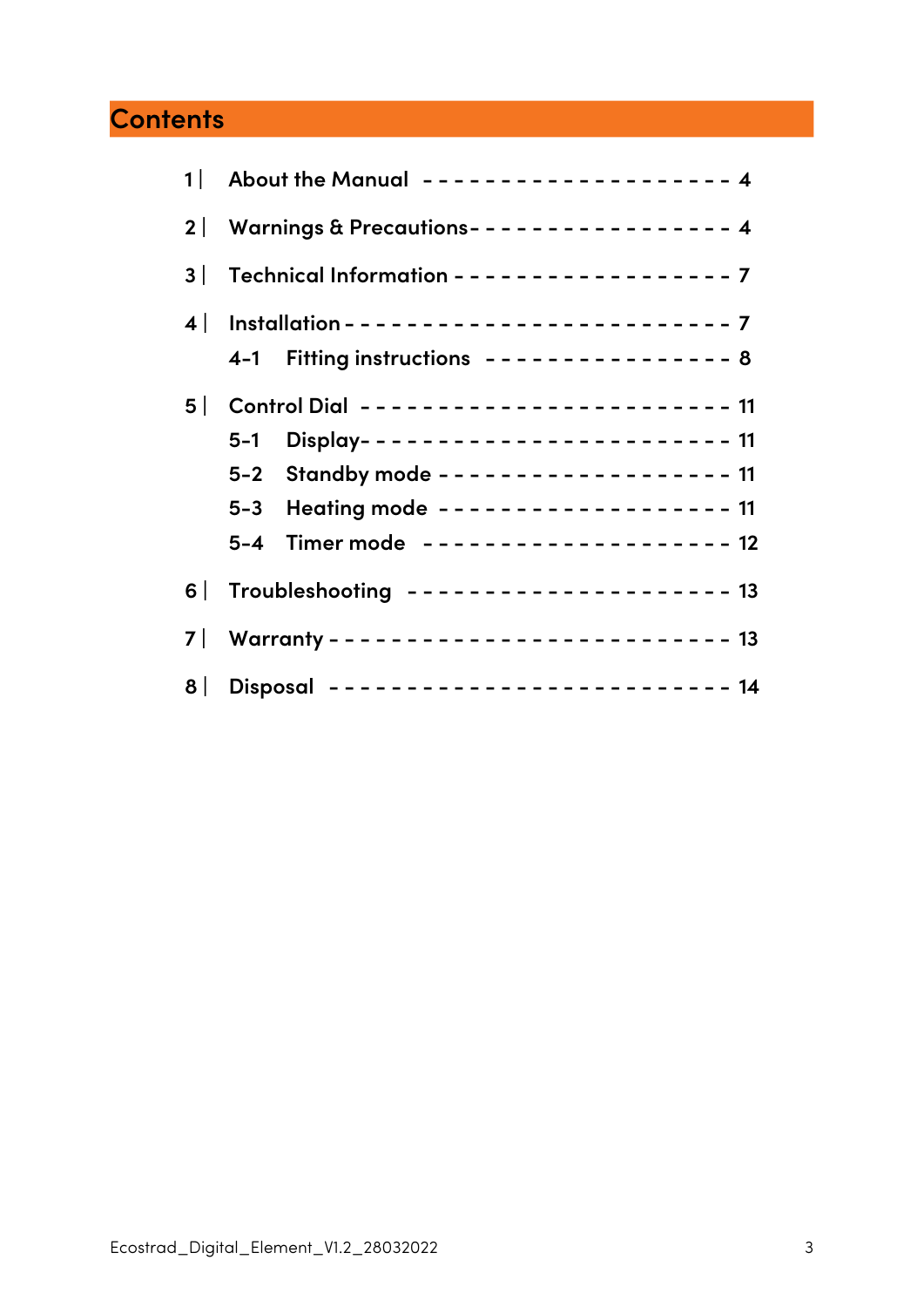# **[Contents](#page-3-0)**

|                                                | 1 About the Manual ------------------- 4                                                                                                                                                                           |  |
|------------------------------------------------|--------------------------------------------------------------------------------------------------------------------------------------------------------------------------------------------------------------------|--|
| 2   Warnings & Precautions---------------- 4   |                                                                                                                                                                                                                    |  |
| 3   Technical Information ------------------ 7 |                                                                                                                                                                                                                    |  |
|                                                | 4-1 Fitting instructions --------------- 8                                                                                                                                                                         |  |
|                                                | 5   Control Dial ----------------------- 11<br>5-1 Display----------------------- 11<br>5-2 Standby mode ------------------ 11<br>5-3 Heating mode ------------------ 11<br>5-4 Timer mode -------------------- 12 |  |
| 6   Troubleshooting -------------------- 13    |                                                                                                                                                                                                                    |  |
|                                                |                                                                                                                                                                                                                    |  |
| 8   Disposal ------------------------- 14      |                                                                                                                                                                                                                    |  |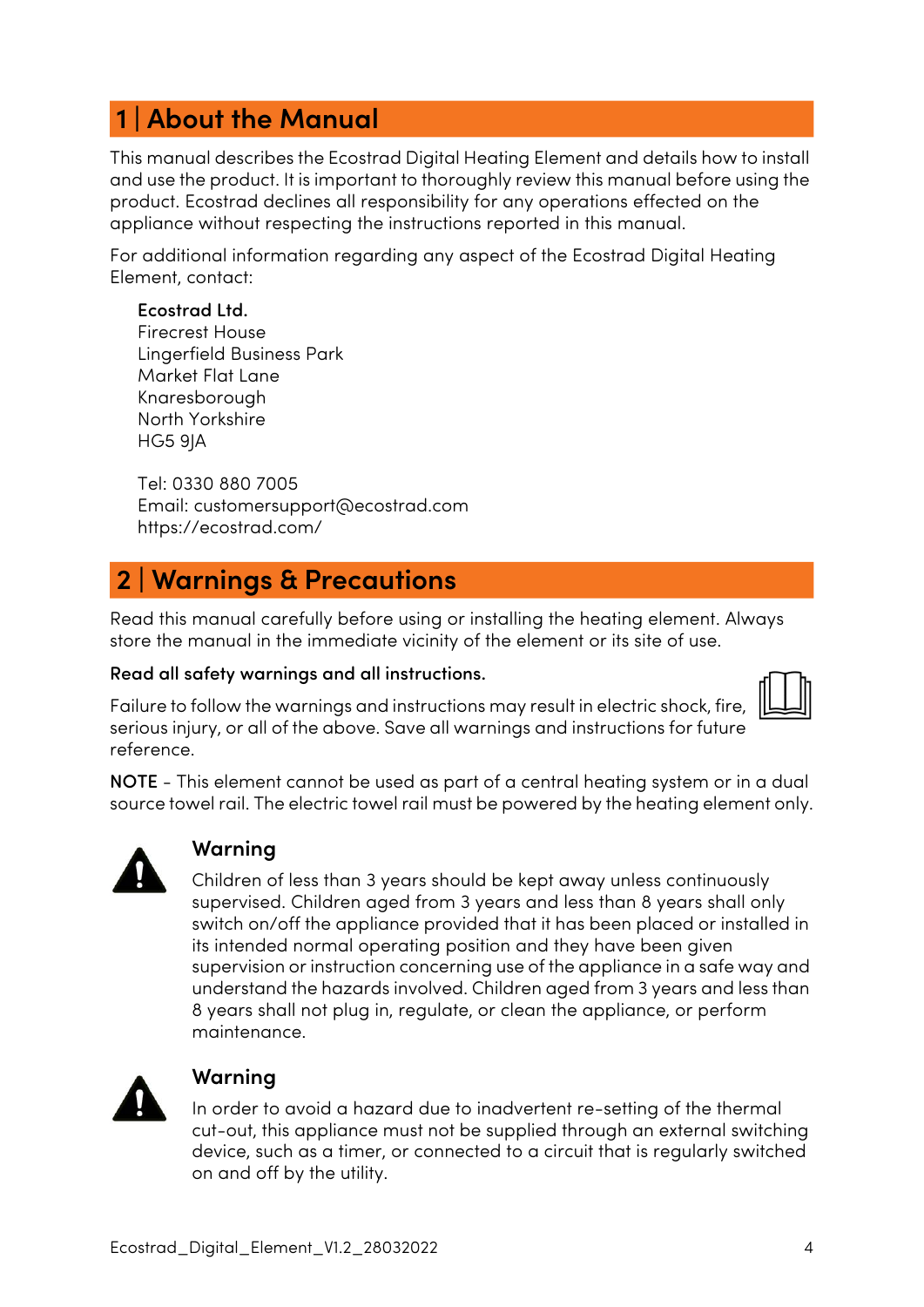# <span id="page-3-0"></span> **1 | About the Manual**

This manual describes the Ecostrad Digital Heating Element and details how to install and use the product. It is important to thoroughly review this manual before using the product. Ecostrad declines all responsibility for any operations effected on the appliance without respecting the instructions reported in this manual.

For additional information regarding any aspect of the Ecostrad Digital Heating Element, contact:

#### Ecostrad Ltd.

Firecrest House Lingerfield Business Park Market Flat Lane Knaresborough North Yorkshire HG5 9JA

Tel: 0330 880 7005 Email: customersupport@ecostrad.com https://ecostrad.com/

### <span id="page-3-1"></span> **2 | Warnings & Precautions**

Read this manual carefully before using or installing the heating element. Always store the manual in the immediate vicinity of the element or its site of use.

#### Read all safety warnings and all instructions.

Failure to follow the warnings and instructions may result in electric shock, fire, serious injury, or all of the above. Save all warnings and instructions for future reference.

NOTE - This element cannot be used as part of a central heating system or in a dual source towel rail. The electric towel rail must be powered by the heating element only.



#### **Warning**

Children of less than 3 years should be kept away unless continuously supervised. Children aged from 3 years and less than 8 years shall only switch on/off the appliance provided that it has been placed or installed in its intended normal operating position and they have been given supervision or instruction concerning use of the appliance in a safe way and understand the hazards involved. Children aged from 3 years and less than 8 years shall not plug in, regulate, or clean the appliance, or perform maintenance.



#### **Warning**

In order to avoid a hazard due to inadvertent re-setting of the thermal cut-out, this appliance must not be supplied through an external switching device, such as a timer, or connected to a circuit that is regularly switched on and off by the utility.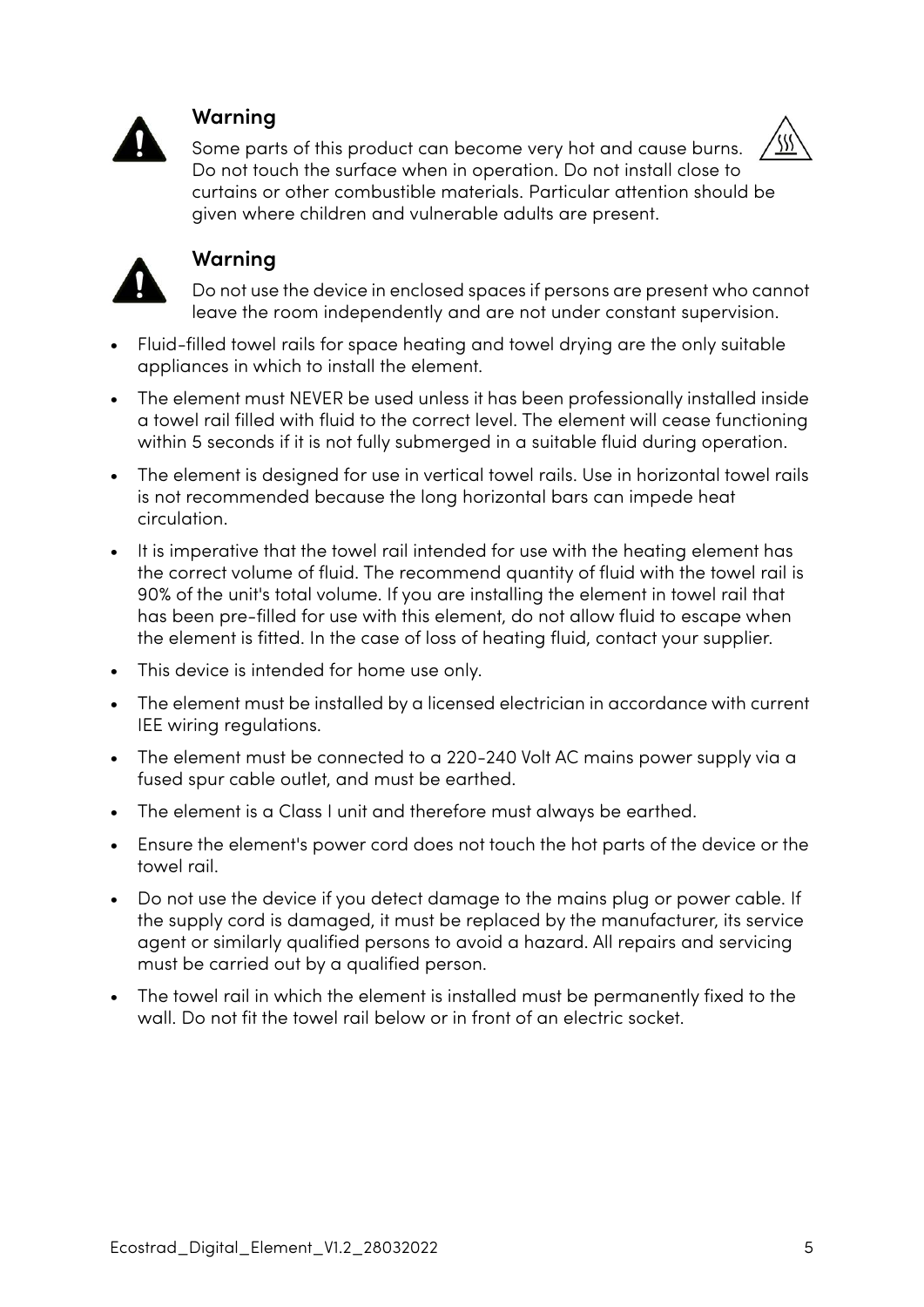

#### **Warning**

Some parts of this product can become very hot and cause burns. Do not touch the surface when in operation. Do not install close to curtains or other combustible materials. Particular attention should be given where children and vulnerable adults are present.



#### **Warning**

Do not use the device in enclosed spaces if persons are present who cannot leave the room independently and are not under constant supervision.

- Fluid-filled towel rails for space heating and towel drying are the only suitable appliances in which to install the element.
- The element must NEVER be used unless it has been professionally installed inside a towel rail filled with fluid to the correct level. The element will cease functioning within 5 seconds if it is not fully submerged in a suitable fluid during operation.
- The element is designed for use in vertical towel rails. Use in horizontal towel rails is not recommended because the long horizontal bars can impede heat circulation.
- It is imperative that the towel rail intended for use with the heating element has the correct volume of fluid. The recommend quantity of fluid with the towel rail is 90% of the unit's total volume. If you are installing the element in towel rail that has been pre-filled for use with this element, do not allow fluid to escape when the element is fitted. In the case of loss of heating fluid, contact your supplier.
- This device is intended for home use only.
- The element must be installed by a licensed electrician in accordance with current IEE wiring regulations.
- The element must be connected to a 220-240 Volt AC mains power supply via a fused spur cable outlet, and must be earthed.
- The element is a Class I unit and therefore must always be earthed.
- Ensure the element's power cord does not touch the hot parts of the device or the towel rail.
- Do not use the device if you detect damage to the mains plug or power cable. If the supply cord is damaged, it must be replaced by the manufacturer, its service agent or similarly qualified persons to avoid a hazard. All repairs and servicing must be carried out by a qualified person.
- The towel rail in which the element is installed must be permanently fixed to the wall. Do not fit the towel rail below or in front of an electric socket.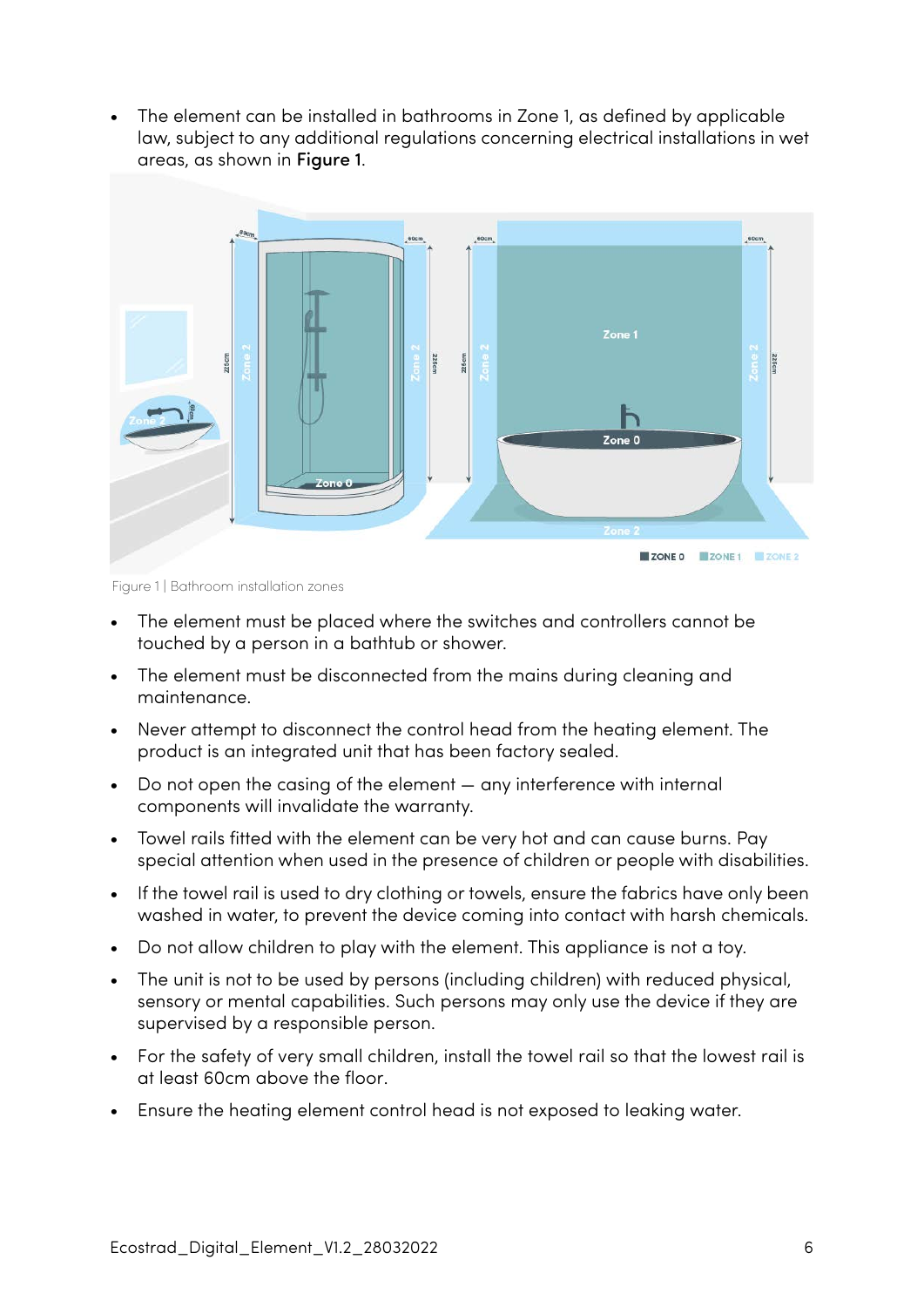• The element can be installed in bathrooms in Zone 1, as defined by applicable law, subject to any additional regulations concerning electrical installations in wet areas, as shown in [Figure 1](#page-5-0).



<span id="page-5-0"></span>Figure 1 | Bathroom installation zones

- The element must be placed where the switches and controllers cannot be touched by a person in a bathtub or shower.
- The element must be disconnected from the mains during cleaning and maintenance.
- Never attempt to disconnect the control head from the heating element. The product is an integrated unit that has been factory sealed.
- Do not open the casing of the element any interference with internal components will invalidate the warranty.
- Towel rails fitted with the element can be very hot and can cause burns. Pay special attention when used in the presence of children or people with disabilities.
- If the towel rail is used to dry clothing or towels, ensure the fabrics have only been washed in water, to prevent the device coming into contact with harsh chemicals.
- Do not allow children to play with the element. This appliance is not a toy.
- The unit is not to be used by persons (including children) with reduced physical, sensory or mental capabilities. Such persons may only use the device if they are supervised by a responsible person.
- For the safety of very small children, install the towel rail so that the lowest rail is at least 60cm above the floor.
- Ensure the heating element control head is not exposed to leaking water.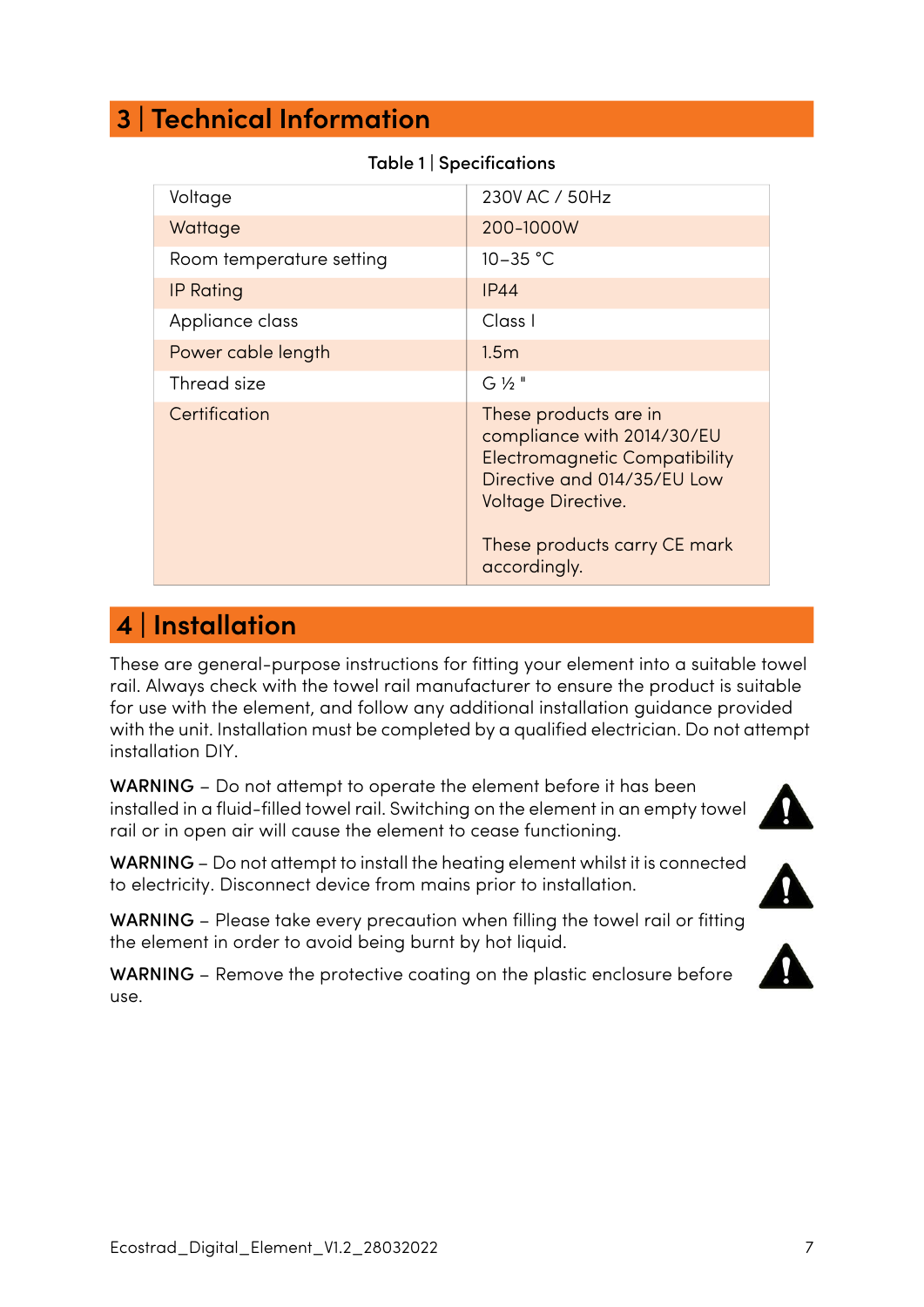### <span id="page-6-0"></span> **3 | Technical Information**

| Voltage                  | 230V AC / 50Hz                                                                                                                                                                                   |  |
|--------------------------|--------------------------------------------------------------------------------------------------------------------------------------------------------------------------------------------------|--|
| Wattage                  | 200-1000W                                                                                                                                                                                        |  |
| Room temperature setting | $10 - 35 °C$                                                                                                                                                                                     |  |
| <b>IP Rating</b>         | <b>IP44</b>                                                                                                                                                                                      |  |
| Appliance class          | Class I                                                                                                                                                                                          |  |
| Power cable length       | 1.5 <sub>m</sub>                                                                                                                                                                                 |  |
| Thread size              | $G\frac{1}{2}$ "                                                                                                                                                                                 |  |
| Certification            | These products are in<br>compliance with 2014/30/EU<br><b>Electromagnetic Compatibility</b><br>Directive and 014/35/EU Low<br>Voltage Directive.<br>These products carry CE mark<br>accordingly. |  |

Table 1 | Specifications

### <span id="page-6-1"></span> **4 | Installation**

These are general-purpose instructions for fitting your element into a suitable towel rail. Always check with the towel rail manufacturer to ensure the product is suitable for use with the element, and follow any additional installation guidance provided with the unit. Installation must be completed by a qualified electrician. Do not attempt installation DIY.

WARNING – Do not attempt to operate the element before it has been installed in a fluid-filled towel rail. Switching on the element in an empty towel rail or in open air will cause the element to cease functioning.

WARNING – Do not attempt to install the heating element whilst it is connected to electricity. Disconnect device from mains prior to installation.

WARNING – Please take every precaution when filling the towel rail or fitting the element in order to avoid being burnt by hot liquid.

WARNING – Remove the protective coating on the plastic enclosure before use.

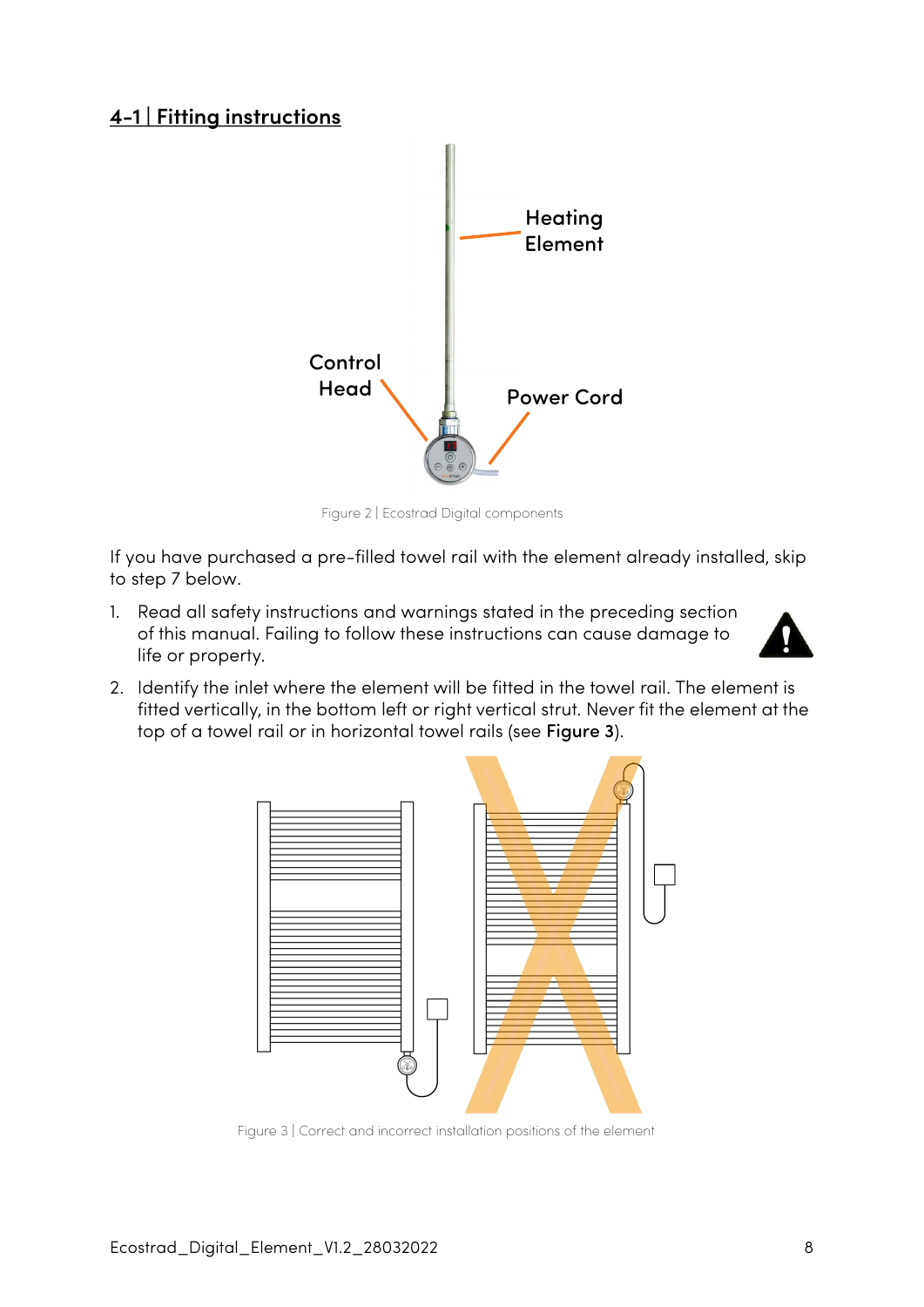#### <span id="page-7-0"></span>**4-1 | Fitting instructions**



Figure 2 | Ecostrad Digital components

If you have purchased a pre-filled towel rail with the element already installed, skip to step 7 below.

1. Read all safety instructions and warnings stated in the preceding section of this manual. Failing to follow these instructions can cause damage to life or property.



2. Identify the inlet where the element will be fitted in the towel rail. The element is fitted vertically, in the bottom left or right vertical strut. Never fit the element at the top of a towel rail or in horizontal towel rails (see [Figure 3](#page-7-1)).



<span id="page-7-1"></span>Figure 3 | Correct and incorrect installation positions of the element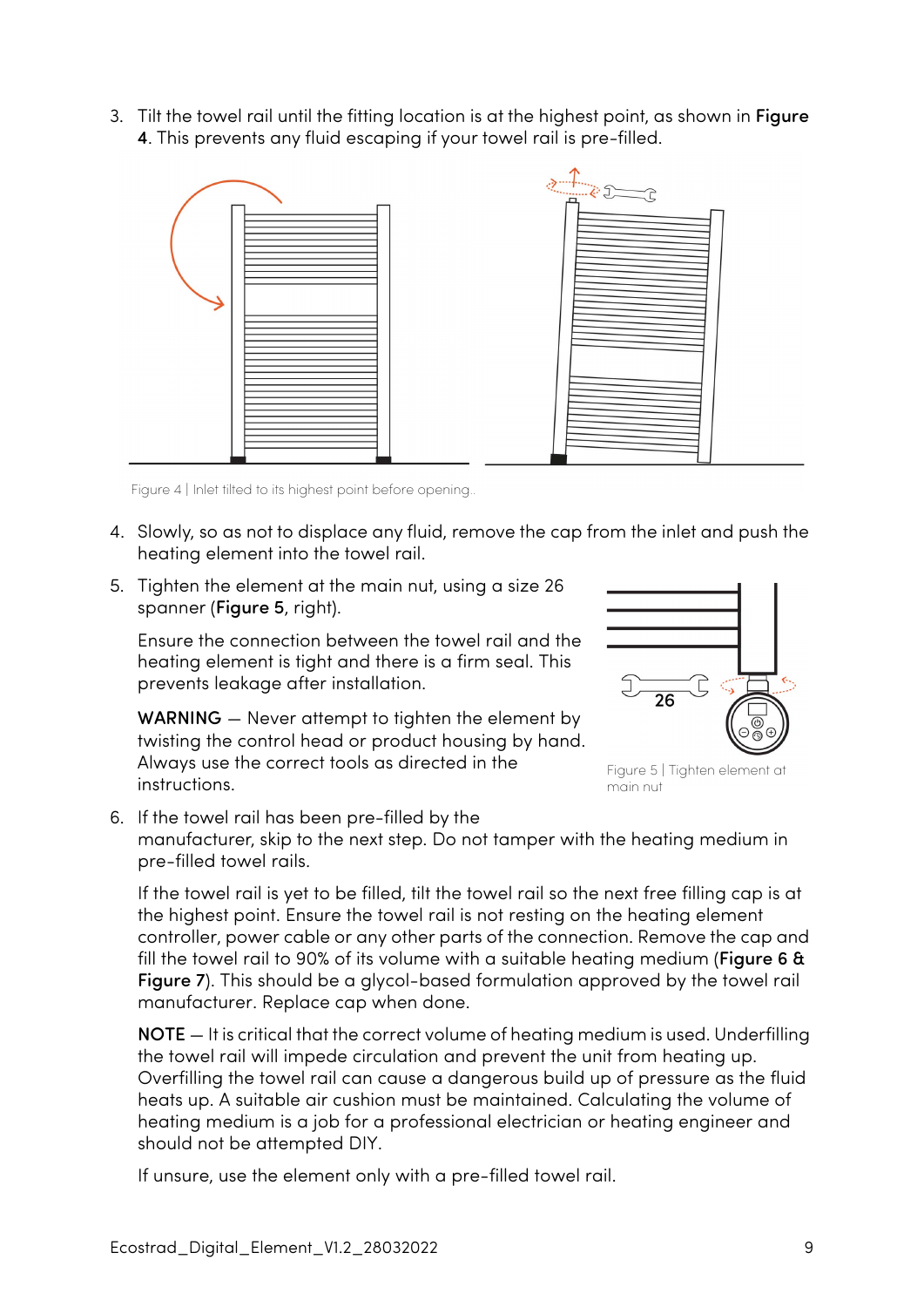3. Tilt the towel rail until the fitting location is at the highest point, as shown in [Figure](#page-8-0)  [4](#page-8-0). This prevents any fluid escaping if your towel rail is pre-filled.



<span id="page-8-0"></span>Figure 4 | Inlet tilted to its highest point before opening...

- 4. Slowly, so as not to displace any fluid, remove the cap from the inlet and push the heating element into the towel rail.
- 5. Tighten the element at the main nut, using a size 26 spanner ([Figure 5](#page-8-1), right).

Ensure the connection between the towel rail and the heating element is tight and there is a firm seal. This prevents leakage after installation.

WARNING – Never attempt to tighten the element by twisting the control head or product housing by hand. Always use the correct tools as directed in the instructions.

<span id="page-8-1"></span>

Figure 5 | Tighten element at main nut

6. If the towel rail has been pre-filled by the manufacturer, skip to the next step. Do not tamper with the heating medium in pre-filled towel rails.

If the towel rail is yet to be filled, tilt the towel rail so the next free filling cap is at the highest point. Ensure the towel rail is not resting on the heating element controller, power cable or any other parts of the connection. Remove the cap and fill the towel rail to 90% of its volume with a suitable heating medium ([Figure 6](#page-9-0) & [Figure 7](#page-9-1)). This should be a glycol-based formulation approved by the towel rail manufacturer. Replace cap when done.

NOTE — It is critical that the correct volume of heating medium is used. Underfilling the towel rail will impede circulation and prevent the unit from heating up. Overfilling the towel rail can cause a dangerous build up of pressure as the fluid heats up. A suitable air cushion must be maintained. Calculating the volume of heating medium is a job for a professional electrician or heating engineer and should not be attempted DIY.

If unsure, use the element only with a pre-filled towel rail.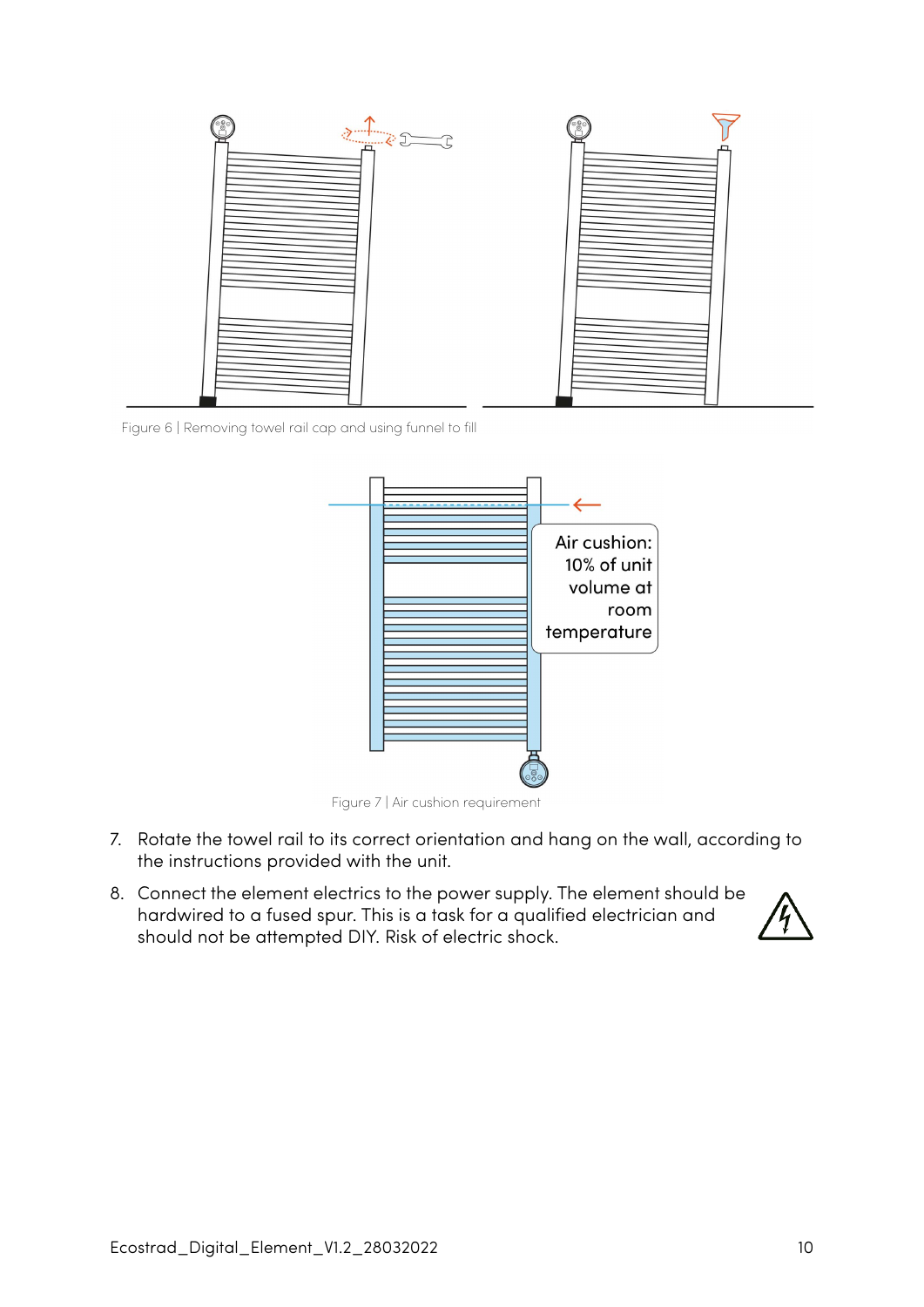

<span id="page-9-0"></span>Figure 6 | Removing towel rail cap and using funnel to fill



<span id="page-9-1"></span>Figure 7 | Air cushion requirement

- 7. Rotate the towel rail to its correct orientation and hang on the wall, according to the instructions provided with the unit.
- 8. Connect the element electrics to the power supply. The element should be hardwired to a fused spur. This is a task for a qualified electrician and should not be attempted DIY. Risk of electric shock.

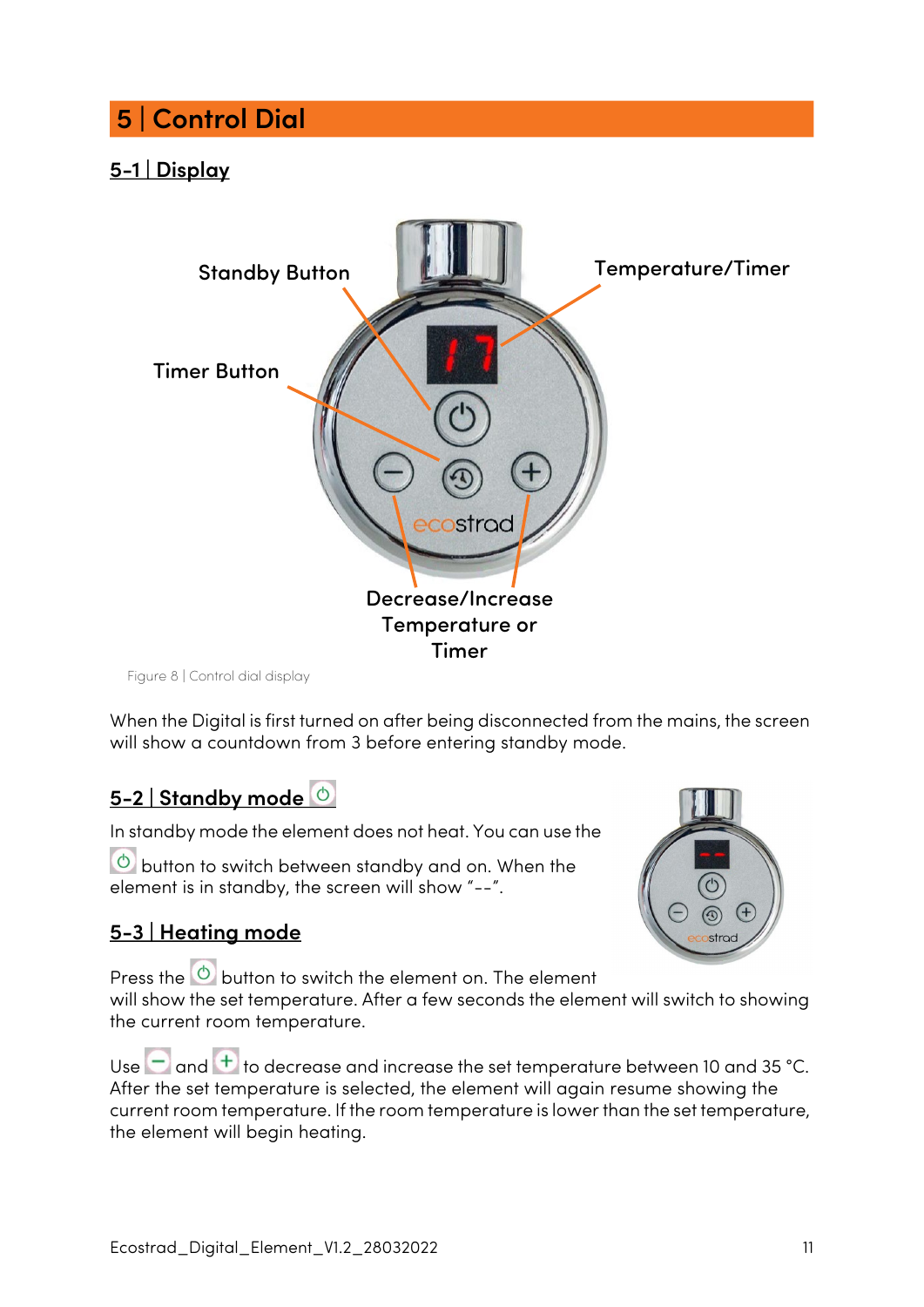# <span id="page-10-0"></span> **5 | Control Dial**

### <span id="page-10-1"></span>**5-1 | Display**



Figure 8 | Control dial display

When the Digital is first turned on after being disconnected from the mains, the screen will show a countdown from 3 before entering standby mode.

### <span id="page-10-2"></span>**5-2 | Standby mode**

In standby mode the element does not heat. You can use the

 $\bullet$  button to switch between standby and on. When the element is in standby, the screen will show "--".

### <span id="page-10-3"></span>**5-3 | Heating mode**



Press the  $\circledcirc$  button to switch the element on. The element will show the set temperature. After a few seconds the element will switch to showing the current room temperature.

Use  $\Box$  and  $\Box$  to decrease and increase the set temperature between 10 and 35 °C. After the set temperature is selected, the element will again resume showing the current room temperature. If the room temperature is lower than the set temperature, the element will begin heating.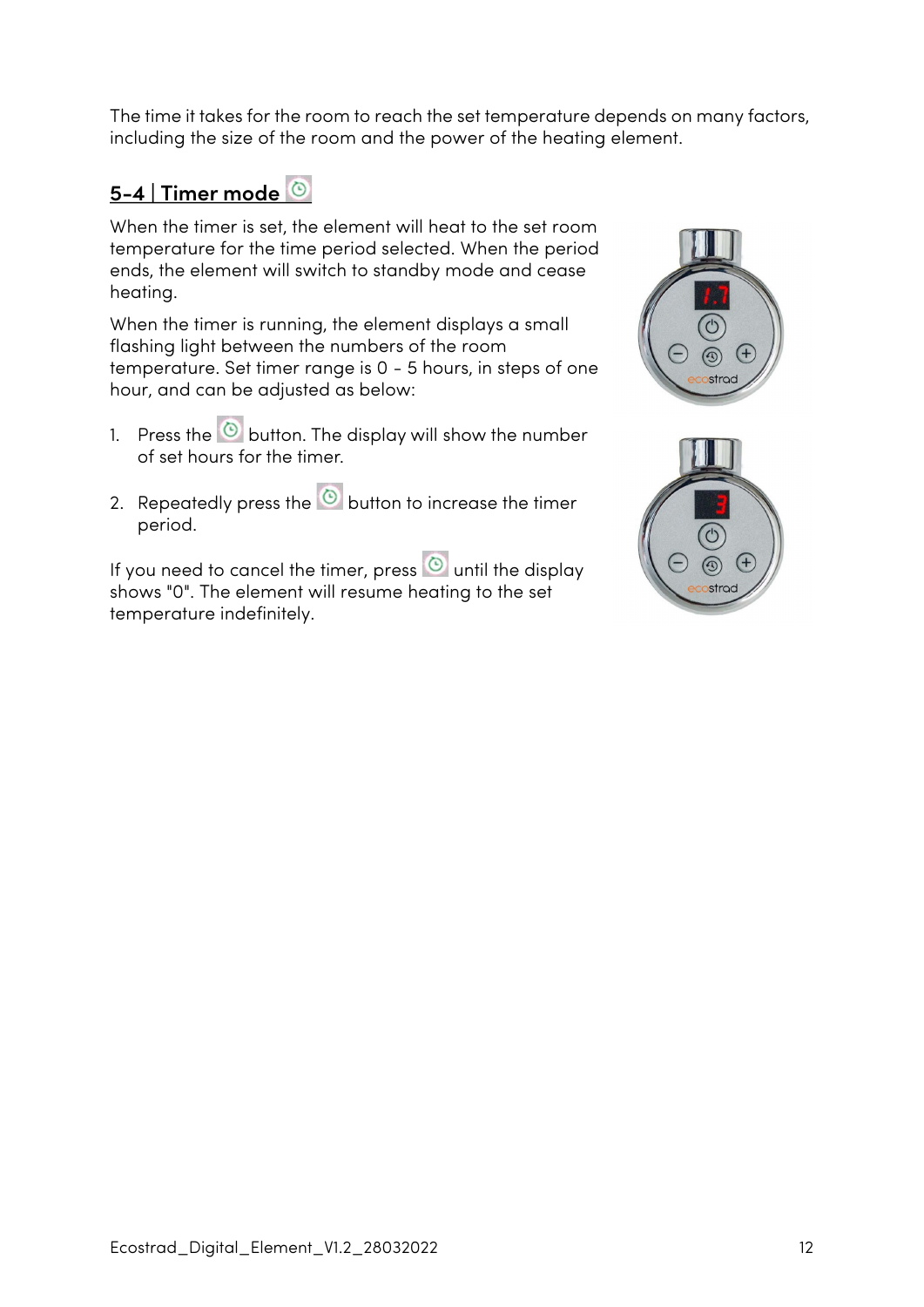The time it takes for the room to reach the set temperature depends on many factors, including the size of the room and the power of the heating element.

### <span id="page-11-0"></span>**5-4 | Timer mode**

When the timer is set, the element will heat to the set room temperature for the time period selected. When the period ends, the element will switch to standby mode and cease heating.

When the timer is running, the element displays a small flashing light between the numbers of the room temperature. Set timer range is 0 - 5 hours, in steps of one hour, and can be adjusted as below:

- 1. Press the  $\bigcirc$  button. The display will show the number of set hours for the timer.
- 2. Repeatedly press the  $\bullet$  button to increase the timer period.

If you need to cancel the timer, press  $\circledcirc$  until the display shows "0". The element will resume heating to the set temperature indefinitely.



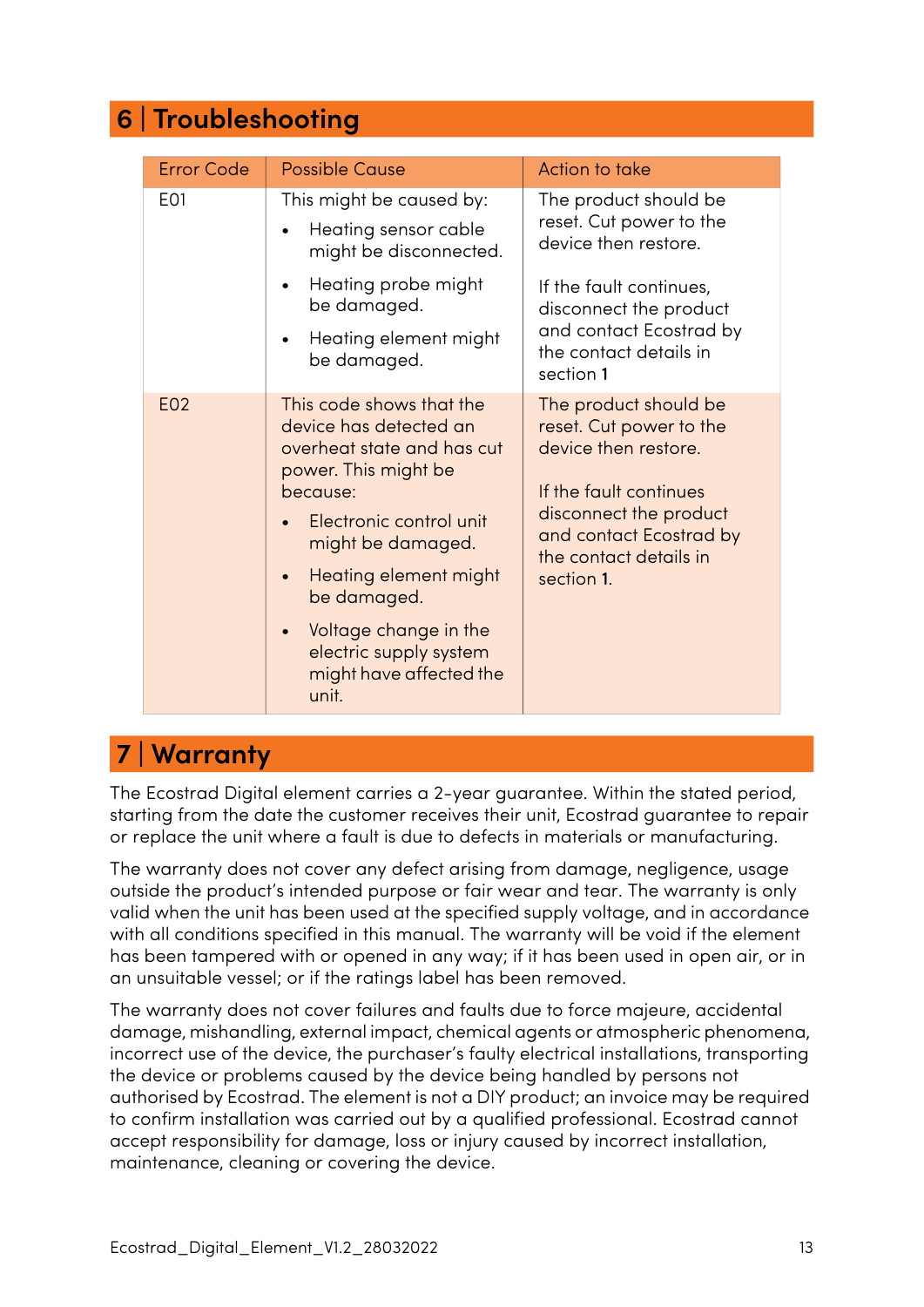## <span id="page-12-0"></span> **6 | Troubleshooting**

| <b>Error Code</b> | <b>Possible Cause</b>                                                                                                                                                                                                                                                                               | Action to take                                                                                                                                                                                  |
|-------------------|-----------------------------------------------------------------------------------------------------------------------------------------------------------------------------------------------------------------------------------------------------------------------------------------------------|-------------------------------------------------------------------------------------------------------------------------------------------------------------------------------------------------|
| E01               | This might be caused by:<br>Heating sensor cable<br>$\bullet$<br>might be disconnected.                                                                                                                                                                                                             | The product should be<br>reset. Cut power to the<br>device then restore.                                                                                                                        |
|                   | Heating probe might<br>be damaged.                                                                                                                                                                                                                                                                  | If the fault continues,<br>disconnect the product                                                                                                                                               |
|                   | Heating element might<br>be damaged.                                                                                                                                                                                                                                                                | and contact Ecostrad by<br>the contact details in<br>section 1                                                                                                                                  |
| E02               | This code shows that the<br>device has detected an<br>overheat state and has cut<br>power. This might be<br>because:<br>Electronic control unit<br>might be damaged.<br>Heating element might<br>be damaged.<br>Voltage change in the<br>electric supply system<br>might have affected the<br>unit. | The product should be<br>reset. Cut power to the<br>device then restore.<br>If the fault continues<br>disconnect the product<br>and contact Ecostrad by<br>the contact details in<br>section 1. |

### <span id="page-12-1"></span> **7 | Warranty**

The Ecostrad Digital element carries a 2-year guarantee. Within the stated period, starting from the date the customer receives their unit, Ecostrad guarantee to repair or replace the unit where a fault is due to defects in materials or manufacturing.

The warranty does not cover any defect arising from damage, negligence, usage outside the product's intended purpose or fair wear and tear. The warranty is only valid when the unit has been used at the specified supply voltage, and in accordance with all conditions specified in this manual. The warranty will be void if the element has been tampered with or opened in any way; if it has been used in open air, or in an unsuitable vessel; or if the ratings label has been removed.

The warranty does not cover failures and faults due to force majeure, accidental damage, mishandling, external impact, chemical agents or atmospheric phenomena, incorrect use of the device, the purchaser's faulty electrical installations, transporting the device or problems caused by the device being handled by persons not authorised by Ecostrad. The element is not a DIY product; an invoice may be required to confirm installation was carried out by a qualified professional. Ecostrad cannot accept responsibility for damage, loss or injury caused by incorrect installation, maintenance, cleaning or covering the device.